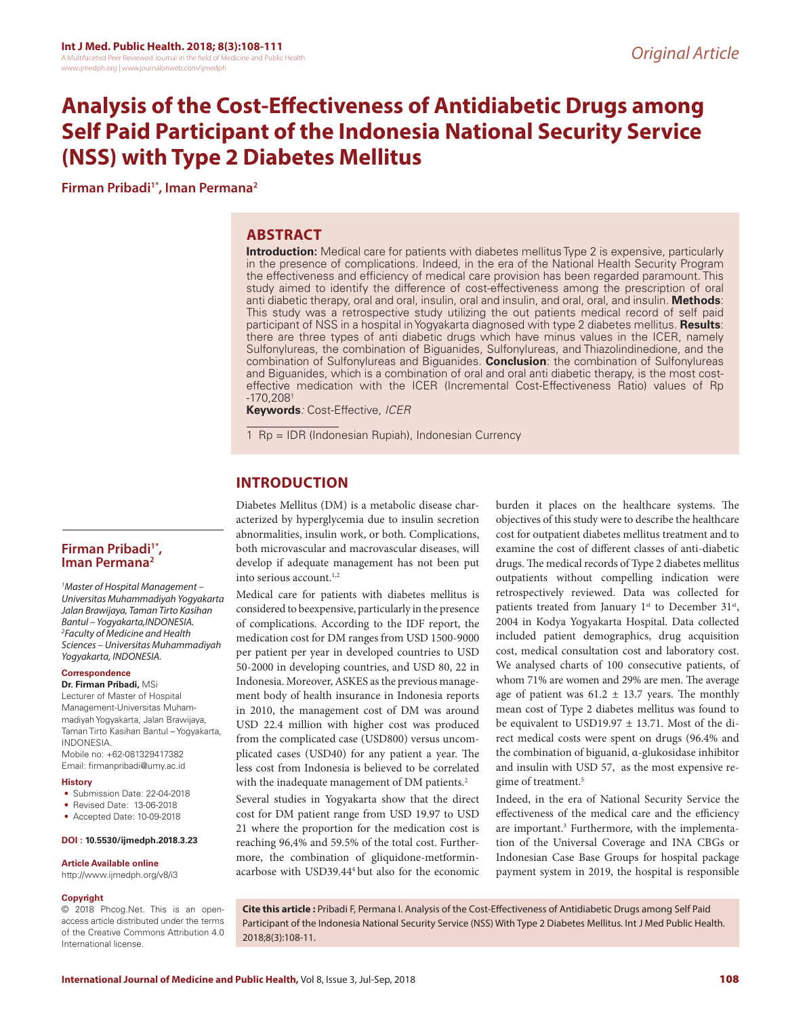# **Analysis of the Cost-Effectiveness of Antidiabetic Drugs among Self Paid Participant of the Indonesia National Security Service (NSS) with Type 2 Diabetes Mellitus**

**Firman Pribadi1\*, Iman Permana2**

## **ABSTRACT**

**Introduction:** Medical care for patients with diabetes mellitus Type 2 is expensive, particularly in the presence of complications. Indeed, in the era of the National Health Security Program the effectiveness and efficiency of medical care provision has been regarded paramount. This study aimed to identify the difference of cost-effectiveness among the prescription of oral anti diabetic therapy, oral and oral, insulin, oral and insulin, and oral, oral, and insulin. **Methods**: This study was a retrospective study utilizing the out patients medical record of self paid participant of NSS in a hospital in Yogyakarta diagnosed with type 2 diabetes mellitus. **Results**: there are three types of anti diabetic drugs which have minus values in the ICER, namely Sulfonylureas, the combination of Biguanides, Sulfonylureas, and Thiazolindinedione, and the combination of Sulfonylureas and Biguanides. **Conclusion**: the combination of Sulfonylureas and Biguanides, which is a combination of oral and oral anti diabetic therapy, is the most costeffective medication with the ICER (Incremental Cost-Effectiveness Ratio) values of Rp -170,2081

**Keywords***:* Cost-Effective*, ICER*

1 Rp = IDR (Indonesian Rupiah), Indonesian Currency

# **INTRODUCTION**

Diabetes Mellitus (DM) is a metabolic disease characterized by hyperglycemia due to insulin secretion abnormalities, insulin work, or both. Complications, both microvascular and macrovascular diseases, will develop if adequate management has not been put into serious account.<sup>1,2</sup>

Medical care for patients with diabetes mellitus is considered to beexpensive, particularly in the presence of complications. According to the IDF report, the medication cost for DM ranges from USD 1500-9000 per patient per year in developed countries to USD 50-2000 in developing countries, and USD 80, 22 in Indonesia. Moreover, ASKES as the previous management body of health insurance in Indonesia reports in 2010, the management cost of DM was around USD 22.4 million with higher cost was produced from the complicated case (USD800) versus uncomplicated cases (USD40) for any patient a year. The less cost from Indonesia is believed to be correlated with the inadequate management of DM patients.<sup>2</sup>

Several studies in Yogyakarta show that the direct cost for DM patient range from USD 19.97 to USD 21 where the proportion for the medication cost is reaching 96,4% and 59.5% of the total cost. Furthermore, the combination of gliquidone-metforminacarbose with USD39.444 but also for the economic

burden it places on the healthcare systems. The objectives of this study were to describe the healthcare cost for outpatient diabetes mellitus treatment and to examine the cost of different classes of anti-diabetic drugs. The medical records of Type 2 diabetes mellitus outpatients without compelling indication were retrospectively reviewed. Data was collected for patients treated from January 1<sup>st</sup> to December 31<sup>st</sup>, 2004 in Kodya Yogyakarta Hospital. Data collected included patient demographics, drug acquisition cost, medical consultation cost and laboratory cost. We analysed charts of 100 consecutive patients, of whom 71% are women and 29% are men. The average age of patient was  $61.2 \pm 13.7$  years. The monthly mean cost of Type 2 diabetes mellitus was found to be equivalent to USD19.97  $\pm$  13.71. Most of the direct medical costs were spent on drugs (96.4% and the combination of biguanid, α-glukosidase inhibitor and insulin with USD 57, as the most expensive regime of treatment.<sup>5</sup>

Indeed, in the era of National Security Service the effectiveness of the medical care and the efficiency are important.<sup>3</sup> Furthermore, with the implementation of the Universal Coverage and INA CBGs or Indonesian Case Base Groups for hospital package payment system in 2019, the hospital is responsible

**Firman Pribadi1\*, Iman Permana2**

*1 Master of Hospital Management – Universitas Muhammadiyah Yogyakarta Jalan Brawijaya, Taman Tirto Kasihan Bantul – Yogyakarta,INDONESIA. 2 Faculty of Medicine and Health Sciences – Universitas Muhammadiyah Yogyakarta, INDONESIA.*

#### **Correspondence**

**Dr. Firman Pribadi,** MSi Lecturer of Master of Hospital Management-Universitas Muhammadiyah Yogyakarta, Jalan Brawijaya, Taman Tirto Kasihan Bantul – Yogyakarta, INDONESIA. Mobile no: +62-081329417382 Email: firmanpribadi@umy.ac.id

#### **History**

- Submission Date: 22-04-2018
- Revised Date: 13-06-2018
- Accepted Date: 10-09-2018

#### **DOI : 10.5530/ijmedph.2018.3.23**

#### **Article Available online**

http://www.ijmedph.org/v8/i3

#### **Copyright**

© 2018 Phcog.Net. This is an openaccess article distributed under the terms of the Creative Commons Attribution 4.0 International license.

**Cite this article :** Pribadi F, Permana I. Analysis of the Cost-Effectiveness of Antidiabetic Drugs among Self Paid Participant of the Indonesia National Security Service (NSS) With Type 2 Diabetes Mellitus. Int J Med Public Health. 2018;8(3):108-11.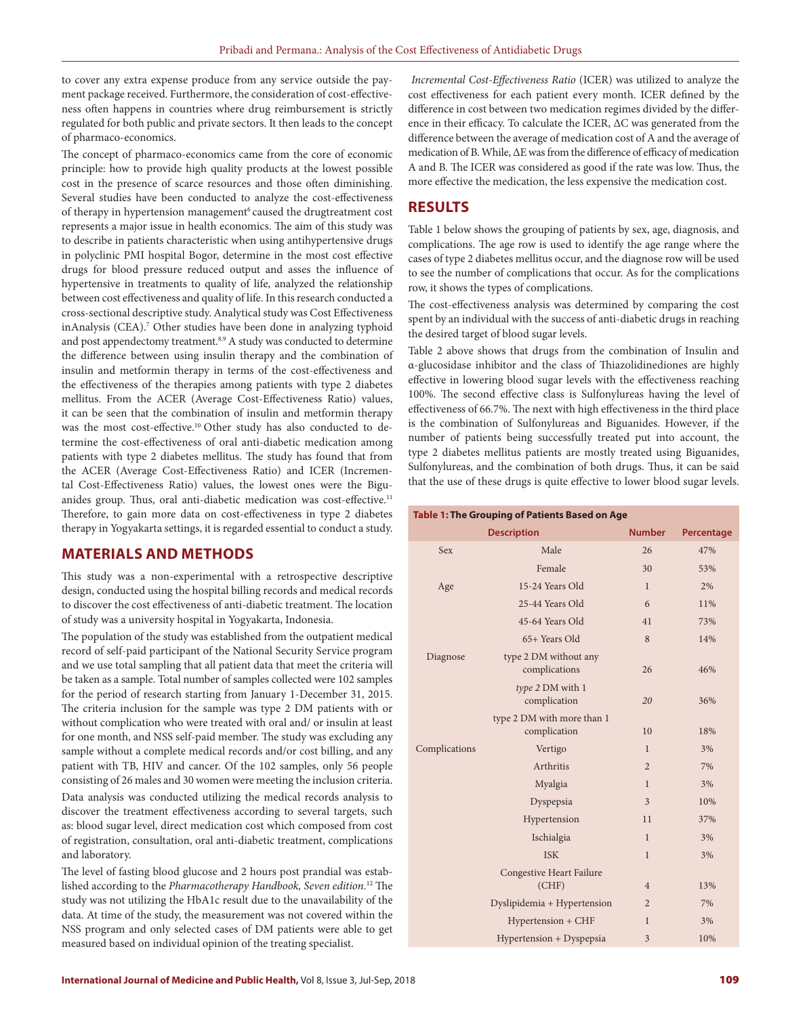to cover any extra expense produce from any service outside the payment package received. Furthermore, the consideration of cost-effectiveness often happens in countries where drug reimbursement is strictly regulated for both public and private sectors. It then leads to the concept of pharmaco-economics.

The concept of pharmaco-economics came from the core of economic principle: how to provide high quality products at the lowest possible cost in the presence of scarce resources and those often diminishing. Several studies have been conducted to analyze the cost-effectiveness of therapy in hypertension management<sup>6</sup> caused the drugtreatment cost represents a major issue in health economics. The aim of this study was to describe in patients characteristic when using antihypertensive drugs in polyclinic PMI hospital Bogor, determine in the most cost effective drugs for blood pressure reduced output and asses the influence of hypertensive in treatments to quality of life, analyzed the relationship between cost effectiveness and quality of life. In this research conducted a cross-sectional descriptive study. Analytical study was Cost Effectiveness inAnalysis (CEA).<sup>7</sup> Other studies have been done in analyzing typhoid and post appendectomy treatment.<sup>8,9</sup> A study was conducted to determine the difference between using insulin therapy and the combination of insulin and metformin therapy in terms of the cost-effectiveness and the effectiveness of the therapies among patients with type 2 diabetes mellitus. From the ACER (Average Cost-Effectiveness Ratio) values, it can be seen that the combination of insulin and metformin therapy was the most cost-effective.<sup>10</sup> Other study has also conducted to determine the cost-effectiveness of oral anti-diabetic medication among patients with type 2 diabetes mellitus. The study has found that from the ACER (Average Cost-Effectiveness Ratio) and ICER (Incremental Cost-Effectiveness Ratio) values, the lowest ones were the Biguanides group. Thus, oral anti-diabetic medication was cost-effective.<sup>11</sup> Therefore, to gain more data on cost-effectiveness in type 2 diabetes therapy in Yogyakarta settings, it is regarded essential to conduct a study.

## **MATERIALS AND METHODS**

This study was a non-experimental with a retrospective descriptive design, conducted using the hospital billing records and medical records to discover the cost effectiveness of anti-diabetic treatment. The location of study was a university hospital in Yogyakarta, Indonesia.

The population of the study was established from the outpatient medical record of self-paid participant of the National Security Service program and we use total sampling that all patient data that meet the criteria will be taken as a sample. Total number of samples collected were 102 samples for the period of research starting from January 1-December 31, 2015. The criteria inclusion for the sample was type 2 DM patients with or without complication who were treated with oral and/ or insulin at least for one month, and NSS self-paid member. The study was excluding any sample without a complete medical records and/or cost billing, and any patient with TB, HIV and cancer. Of the 102 samples, only 56 people consisting of 26 males and 30 women were meeting the inclusion criteria. Data analysis was conducted utilizing the medical records analysis to discover the treatment effectiveness according to several targets, such as: blood sugar level, direct medication cost which composed from cost of registration, consultation, oral anti-diabetic treatment, complications and laboratory.

The level of fasting blood glucose and 2 hours post prandial was established according to the *Pharmacotherapy Handbook, Seven edition.*12 The study was not utilizing the HbA1c result due to the unavailability of the data. At time of the study, the measurement was not covered within the NSS program and only selected cases of DM patients were able to get measured based on individual opinion of the treating specialist.

*Incremental Cost-Effectiveness Ratio* (ICER) was utilized to analyze the cost effectiveness for each patient every month. ICER defined by the difference in cost between two medication regimes divided by the difference in their efficacy. To calculate the ICER, ΔC was generated from the difference between the average of medication cost of A and the average of medication of B. While, ΔE was from the difference of efficacy of medication A and B. The ICER was considered as good if the rate was low. Thus, the more effective the medication, the less expensive the medication cost.

# **RESULTS**

Table 1 below shows the grouping of patients by sex, age, diagnosis, and complications. The age row is used to identify the age range where the cases of type 2 diabetes mellitus occur, and the diagnose row will be used to see the number of complications that occur. As for the complications row, it shows the types of complications.

The cost-effectiveness analysis was determined by comparing the cost spent by an individual with the success of anti-diabetic drugs in reaching the desired target of blood sugar levels.

Table 2 above shows that drugs from the combination of Insulin and α-glucosidase inhibitor and the class of Thiazolidinediones are highly effective in lowering blood sugar levels with the effectiveness reaching 100%. The second effective class is Sulfonylureas having the level of effectiveness of 66.7%. The next with high effectiveness in the third place is the combination of Sulfonylureas and Biguanides. However, if the number of patients being successfully treated put into account, the type 2 diabetes mellitus patients are mostly treated using Biguanides, Sulfonylureas, and the combination of both drugs. Thus, it can be said that the use of these drugs is quite effective to lower blood sugar levels.

**Table 1: The Grouping of Patients Based on Age**

| rapic in the drouping of Futionts based on Age<br><b>Description</b> |                                            | <b>Number</b>           | Percentage |
|----------------------------------------------------------------------|--------------------------------------------|-------------------------|------------|
| Sex                                                                  | Male                                       | 26                      | 47%        |
|                                                                      | Female                                     | 30                      | 53%        |
| Age                                                                  | 15-24 Years Old                            | $\mathbf{1}$            | 2%         |
|                                                                      | 25-44 Years Old                            | 6                       | 11%        |
|                                                                      | 45-64 Years Old                            | 41                      | 73%        |
|                                                                      | 65+ Years Old                              | 8                       | 14%        |
| Diagnose                                                             | type 2 DM without any<br>complications     | 26                      | 46%        |
|                                                                      | type 2 DM with 1<br>complication           | 20                      | 36%        |
|                                                                      | type 2 DM with more than 1<br>complication | 10                      | 18%        |
| Complications                                                        | Vertigo                                    | $\mathbf{1}$            | 3%         |
|                                                                      | Arthritis                                  | $\overline{2}$          | 7%         |
|                                                                      | Myalgia                                    | $\mathbf{1}$            | 3%         |
|                                                                      | Dyspepsia                                  | 3                       | 10%        |
|                                                                      | Hypertension                               | 11                      | 37%        |
|                                                                      | Ischialgia                                 | $\mathbf{1}$            | 3%         |
|                                                                      | <b>ISK</b>                                 | $\mathbf{1}$            | 3%         |
|                                                                      | Congestive Heart Failure<br>(CHF)          | $\overline{4}$          | 13%        |
|                                                                      | Dyslipidemia + Hypertension                | $\overline{2}$          | 7%         |
|                                                                      | Hypertension + CHF                         | $\mathbf{1}$            | 3%         |
|                                                                      | Hypertension + Dyspepsia                   | $\overline{\mathbf{3}}$ | 10%        |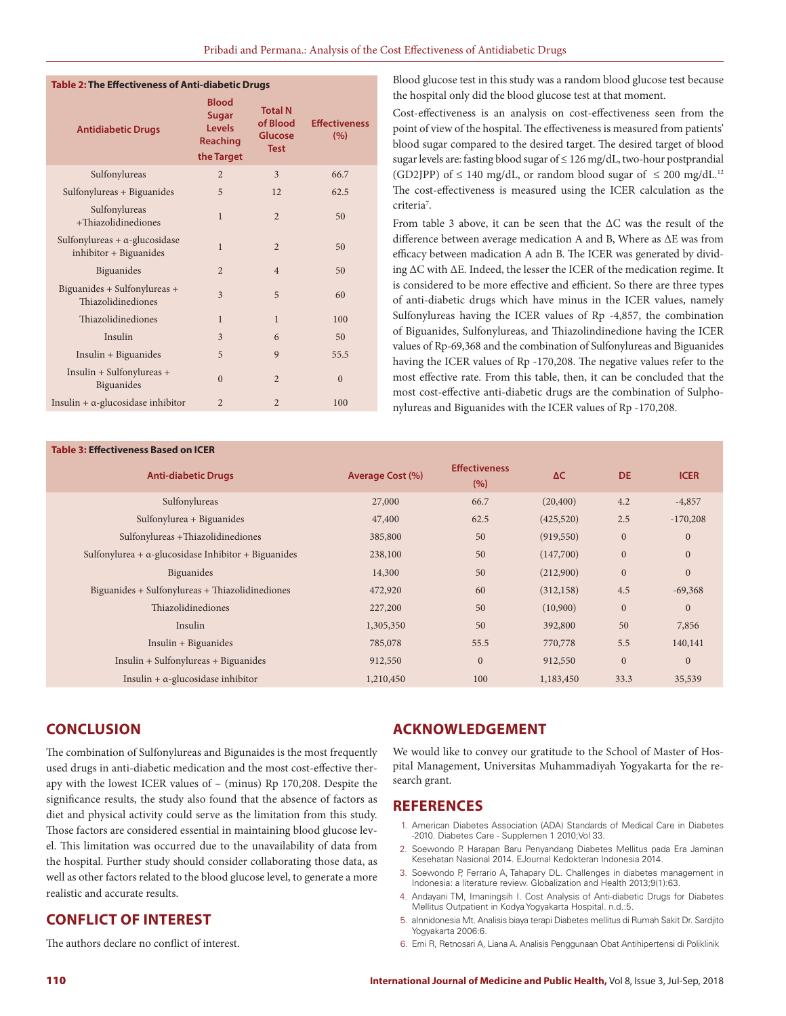| Table 2: The Effectiveness of Anti-diabetic Drugs               |                                                                  |                                                      |                             |  |  |  |  |  |
|-----------------------------------------------------------------|------------------------------------------------------------------|------------------------------------------------------|-----------------------------|--|--|--|--|--|
| <b>Antidiabetic Drugs</b>                                       | <b>Blood</b><br><b>Sugar</b><br>Levels<br>Reaching<br>the Target | <b>Total N</b><br>of Blood<br>Glucose<br><b>Test</b> | <b>Effectiveness</b><br>(%) |  |  |  |  |  |
| Sulfonylureas                                                   | $\overline{2}$                                                   | 3                                                    | 66.7                        |  |  |  |  |  |
| Sulfonylureas + Biguanides                                      | 5                                                                | 12                                                   | 62.5                        |  |  |  |  |  |
| Sulfonylureas<br>+Thiazolidinediones                            | $\mathbf{1}$                                                     | $\overline{2}$                                       | 50                          |  |  |  |  |  |
| Sulfonylureas $+ \alpha$ -glucosidase<br>inhibitor + Biguanides | 1                                                                | $\overline{2}$                                       | 50                          |  |  |  |  |  |
| Biguanides                                                      | $\overline{2}$                                                   | $\overline{4}$                                       | 50                          |  |  |  |  |  |
| Biguanides + Sulfonylureas +<br>Thiazolidinediones              | 3                                                                | 5                                                    | 60                          |  |  |  |  |  |
| Thiazolidinediones                                              | $\mathbf{1}$                                                     | $\mathbf{1}$                                         | 100                         |  |  |  |  |  |
| Insulin                                                         | 3                                                                | 6                                                    | 50                          |  |  |  |  |  |
| Insulin + Biguanides                                            | 5                                                                | 9                                                    | 55.5                        |  |  |  |  |  |
| Insulin + Sulfonylureas +<br>Biguanides                         | $\Omega$                                                         | $\overline{2}$                                       | $\Omega$                    |  |  |  |  |  |
| Insulin $+ \alpha$ -glucosidase inhibitor                       | 2                                                                | $\overline{2}$                                       | 100                         |  |  |  |  |  |
|                                                                 |                                                                  |                                                      |                             |  |  |  |  |  |

Blood glucose test in this study was a random blood glucose test because the hospital only did the blood glucose test at that moment.

Cost-effectiveness is an analysis on cost-effectiveness seen from the point of view of the hospital. The effectiveness is measured from patients' blood sugar compared to the desired target. The desired target of blood sugar levels are: fasting blood sugar of ≤ 126 mg/dL, two-hour postprandial (GD2JPP) of  $\leq 140$  mg/dL, or random blood sugar of  $\leq 200$  mg/dL.<sup>12</sup> The cost-effectiveness is measured using the ICER calculation as the criteria<sup>7</sup>.

From table 3 above, it can be seen that the ΔC was the result of the difference between average medication A and B, Where as ΔE was from efficacy between madication A adn B. The ICER was generated by dividing ΔC with ΔE. Indeed, the lesser the ICER of the medication regime. It is considered to be more effective and efficient. So there are three types of anti-diabetic drugs which have minus in the ICER values, namely Sulfonylureas having the ICER values of Rp -4,857, the combination of Biguanides, Sulfonylureas, and Thiazolindinedione having the ICER values of Rp-69,368 and the combination of Sulfonylureas and Biguanides having the ICER values of Rp -170,208. The negative values refer to the most effective rate. From this table, then, it can be concluded that the most cost-effective anti-diabetic drugs are the combination of Sulphonylureas and Biguanides with the ICER values of Rp -170,208.

### **Table 3: Effectiveness Based on ICER**

| INIE J. EIIECUVENESS DUSEU VII IEEN                         |                  |                             |            |              |                |  |  |  |
|-------------------------------------------------------------|------------------|-----------------------------|------------|--------------|----------------|--|--|--|
| <b>Anti-diabetic Drugs</b>                                  | Average Cost (%) | <b>Effectiveness</b><br>(%) | ΔC         | DE.          | <b>ICER</b>    |  |  |  |
| Sulfonylureas                                               | 27,000           | 66.7                        | (20, 400)  | 4.2          | $-4,857$       |  |  |  |
| Sulfonylurea + Biguanides                                   | 47,400           | 62.5                        | (425,520)  | 2.5          | $-170,208$     |  |  |  |
| Sulfonylureas +Thiazolidinediones                           | 385,800          | 50                          | (919, 550) | $\mathbf{0}$ | $\mathbf{0}$   |  |  |  |
| Sulfonylurea + $\alpha$ -glucosidase Inhibitor + Biguanides | 238,100          | 50                          | (147,700)  | $\mathbf{0}$ | $\mathbf{0}$   |  |  |  |
| <b>Biguanides</b>                                           | 14,300           | 50                          | (212,900)  | $\mathbf{0}$ | $\mathbf{0}$   |  |  |  |
| Biguanides + Sulfonylureas + Thiazolidinediones             | 472,920          | 60                          | (312, 158) | 4.5          | $-69,368$      |  |  |  |
| Thiazolidinediones                                          | 227,200          | 50                          | (10,900)   | $\mathbf{0}$ | $\overline{0}$ |  |  |  |
| Insulin                                                     | 1,305,350        | 50                          | 392,800    | 50           | 7,856          |  |  |  |
| $Insulin + Biguanides$                                      | 785,078          | 55.5                        | 770,778    | 5.5          | 140,141        |  |  |  |
| Insulin + Sulfonylureas + Biguanides                        | 912,550          | $\mathbf{0}$                | 912,550    | $\mathbf{0}$ | $\overline{0}$ |  |  |  |
| Insulin + $\alpha$ -glucosidase inhibitor                   | 1,210,450        | 100                         | 1,183,450  | 33.3         | 35,539         |  |  |  |

## **CONCLUSION**

The combination of Sulfonylureas and Bigunaides is the most frequently used drugs in anti-diabetic medication and the most cost-effective therapy with the lowest ICER values of – (minus) Rp 170,208. Despite the significance results, the study also found that the absence of factors as diet and physical activity could serve as the limitation from this study. Those factors are considered essential in maintaining blood glucose level. This limitation was occurred due to the unavailability of data from the hospital. Further study should consider collaborating those data, as well as other factors related to the blood glucose level, to generate a more realistic and accurate results.

## **CONFLICT OF INTEREST**

The authors declare no conflict of interest.

## **ACKNOWLEDGEMENT**

We would like to convey our gratitude to the School of Master of Hospital Management, Universitas Muhammadiyah Yogyakarta for the research grant.

## **REFERENCES**

- 1. American Diabetes Association (ADA) Standards of Medical Care in Diabetes -2010. Diabetes Care - Supplemen 1 2010;Vol 33.
- 2. Soewondo P. Harapan Baru Penyandang Diabetes Mellitus pada Era Jaminan Kesehatan Nasional 2014. EJournal Kedokteran Indonesia 2014.
- 3. Soewondo P, Ferrario A, Tahapary DL. Challenges in diabetes management in Indonesia: a literature review. Globalization and Health 2013;9(1):63.
- 4. Andayani TM, Imaningsih I. Cost Analysis of Anti-diabetic Drugs for Diabetes Mellitus Outpatient in Kodya Yogyakarta Hospital. n.d.:5.
- 5. aInnidonesia Mt. Analisis biaya terapi Diabetes mellitus di Rumah Sakit Dr. Sardjito Yogyakarta 2006:6.
- 6. Erni R, Retnosari A, Liana A. Analisis Penggunaan Obat Antihipertensi di Poliklinik